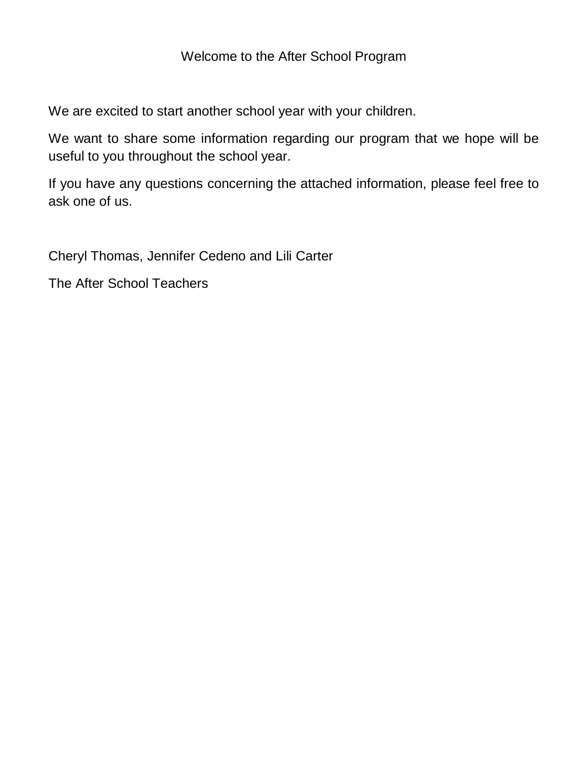#### Welcome to the After School Program

We are excited to start another school year with your children.

We want to share some information regarding our program that we hope will be useful to you throughout the school year.

If you have any questions concerning the attached information, please feel free to ask one of us.

Cheryl Thomas, Jennifer Cedeno and Lili Carter

The After School Teachers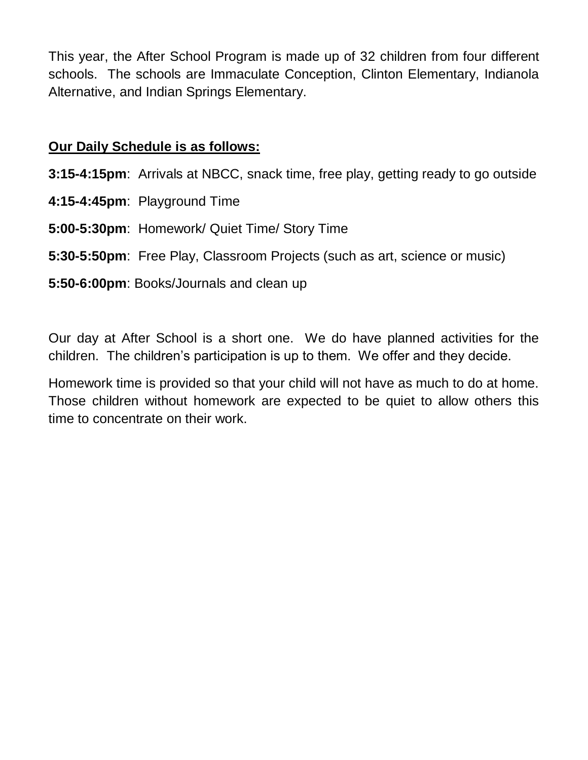This year, the After School Program is made up of 32 children from four different schools. The schools are Immaculate Conception, Clinton Elementary, Indianola Alternative, and Indian Springs Elementary.

#### **Our Daily Schedule is as follows:**

**3:15-4:15pm**: Arrivals at NBCC, snack time, free play, getting ready to go outside

- **4:15-4:45pm**: Playground Time
- **5:00-5:30pm**: Homework/ Quiet Time/ Story Time
- **5:30-5:50pm**: Free Play, Classroom Projects (such as art, science or music)
- **5:50-6:00pm**: Books/Journals and clean up

Our day at After School is a short one. We do have planned activities for the children. The children's participation is up to them. We offer and they decide.

Homework time is provided so that your child will not have as much to do at home. Those children without homework are expected to be quiet to allow others this time to concentrate on their work.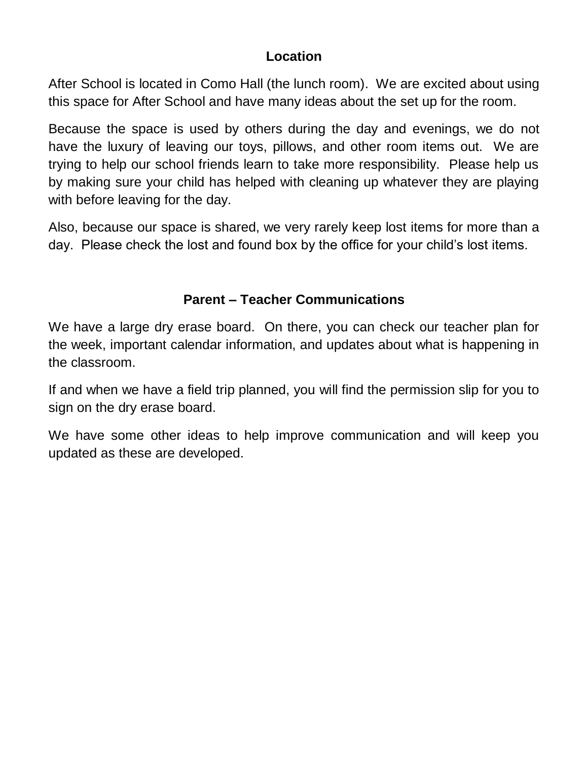## **Location**

After School is located in Como Hall (the lunch room). We are excited about using this space for After School and have many ideas about the set up for the room.

Because the space is used by others during the day and evenings, we do not have the luxury of leaving our toys, pillows, and other room items out. We are trying to help our school friends learn to take more responsibility. Please help us by making sure your child has helped with cleaning up whatever they are playing with before leaving for the day.

Also, because our space is shared, we very rarely keep lost items for more than a day. Please check the lost and found box by the office for your child's lost items.

# **Parent – Teacher Communications**

We have a large dry erase board. On there, you can check our teacher plan for the week, important calendar information, and updates about what is happening in the classroom.

If and when we have a field trip planned, you will find the permission slip for you to sign on the dry erase board.

We have some other ideas to help improve communication and will keep you updated as these are developed.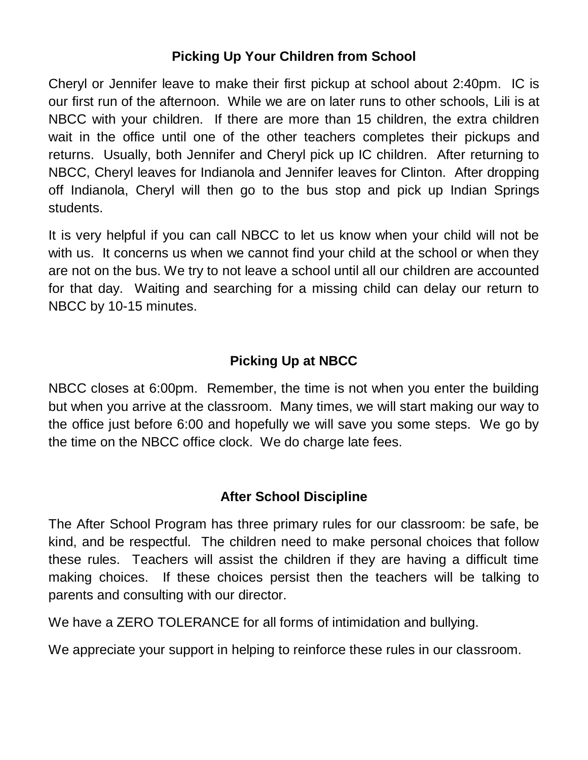# **Picking Up Your Children from School**

Cheryl or Jennifer leave to make their first pickup at school about 2:40pm. IC is our first run of the afternoon. While we are on later runs to other schools, Lili is at NBCC with your children. If there are more than 15 children, the extra children wait in the office until one of the other teachers completes their pickups and returns. Usually, both Jennifer and Cheryl pick up IC children. After returning to NBCC, Cheryl leaves for Indianola and Jennifer leaves for Clinton. After dropping off Indianola, Cheryl will then go to the bus stop and pick up Indian Springs students.

It is very helpful if you can call NBCC to let us know when your child will not be with us. It concerns us when we cannot find your child at the school or when they are not on the bus. We try to not leave a school until all our children are accounted for that day. Waiting and searching for a missing child can delay our return to NBCC by 10-15 minutes.

# **Picking Up at NBCC**

NBCC closes at 6:00pm. Remember, the time is not when you enter the building but when you arrive at the classroom. Many times, we will start making our way to the office just before 6:00 and hopefully we will save you some steps. We go by the time on the NBCC office clock. We do charge late fees.

## **After School Discipline**

The After School Program has three primary rules for our classroom: be safe, be kind, and be respectful. The children need to make personal choices that follow these rules. Teachers will assist the children if they are having a difficult time making choices. If these choices persist then the teachers will be talking to parents and consulting with our director.

We have a ZERO TOLERANCE for all forms of intimidation and bullying.

We appreciate your support in helping to reinforce these rules in our classroom.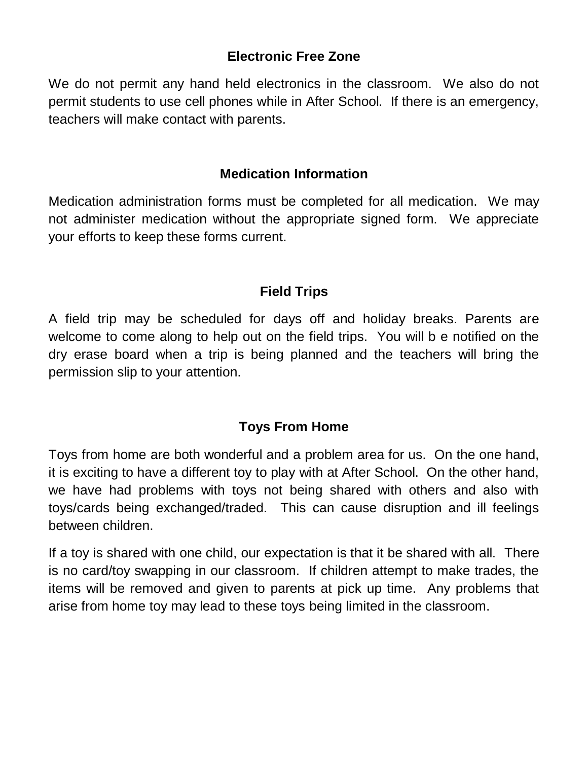### **Electronic Free Zone**

We do not permit any hand held electronics in the classroom. We also do not permit students to use cell phones while in After School. If there is an emergency, teachers will make contact with parents.

### **Medication Information**

Medication administration forms must be completed for all medication. We may not administer medication without the appropriate signed form. We appreciate your efforts to keep these forms current.

## **Field Trips**

A field trip may be scheduled for days off and holiday breaks. Parents are welcome to come along to help out on the field trips. You will b e notified on the dry erase board when a trip is being planned and the teachers will bring the permission slip to your attention.

# **Toys From Home**

Toys from home are both wonderful and a problem area for us. On the one hand, it is exciting to have a different toy to play with at After School. On the other hand, we have had problems with toys not being shared with others and also with toys/cards being exchanged/traded. This can cause disruption and ill feelings between children.

If a toy is shared with one child, our expectation is that it be shared with all. There is no card/toy swapping in our classroom. If children attempt to make trades, the items will be removed and given to parents at pick up time. Any problems that arise from home toy may lead to these toys being limited in the classroom.